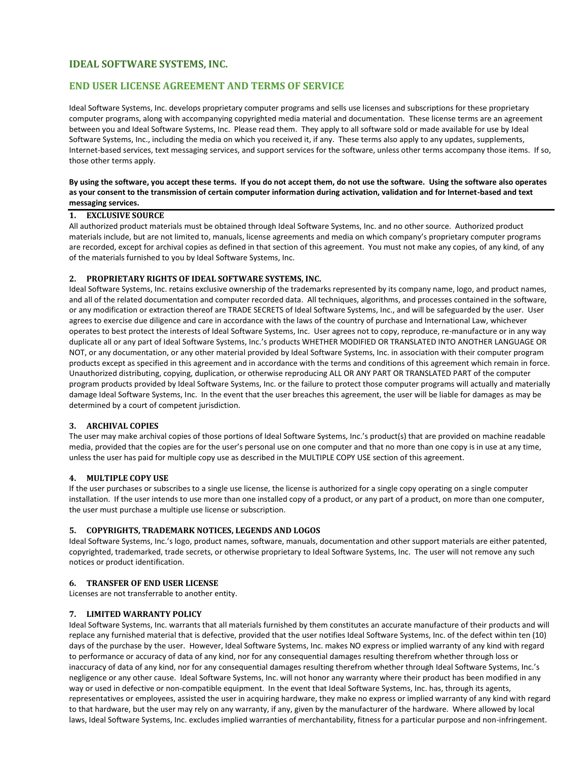# **IDEAL SOFTWARE SYSTEMS, INC.**

# **END USER LICENSE AGREEMENT AND TERMS OF SERVICE**

Ideal Software Systems, Inc. develops proprietary computer programs and sells use licenses and subscriptions for these proprietary computer programs, along with accompanying copyrighted media material and documentation. These license terms are an agreement between you and Ideal Software Systems, Inc. Please read them. They apply to all software sold or made available for use by Ideal Software Systems, Inc., including the media on which you received it, if any. These terms also apply to any updates, supplements, Internet-based services, text messaging services, and support services for the software, unless other terms accompany those items. If so, those other terms apply.

### **By using the software, you accept these terms. If you do not accept them, do not use the software. Using the software also operates as your consent to the transmission of certain computer information during activation, validation and for Internet-based and text messaging services.**

#### **1. EXCLUSIVE SOURCE**

All authorized product materials must be obtained through Ideal Software Systems, Inc. and no other source. Authorized product materials include, but are not limited to, manuals, license agreements and media on which company's proprietary computer programs are recorded, except for archival copies as defined in that section of this agreement. You must not make any copies, of any kind, of any of the materials furnished to you by Ideal Software Systems, Inc.

## **2. PROPRIETARY RIGHTS OF IDEAL SOFTWARE SYSTEMS, INC.**

Ideal Software Systems, Inc. retains exclusive ownership of the trademarks represented by its company name, logo, and product names, and all of the related documentation and computer recorded data. All techniques, algorithms, and processes contained in the software, or any modification or extraction thereof are TRADE SECRETS of Ideal Software Systems, Inc., and will be safeguarded by the user. User agrees to exercise due diligence and care in accordance with the laws of the country of purchase and International Law, whichever operates to best protect the interests of Ideal Software Systems, Inc. User agrees not to copy, reproduce, re-manufacture or in any way duplicate all or any part of Ideal Software Systems, Inc.'s products WHETHER MODIFIED OR TRANSLATED INTO ANOTHER LANGUAGE OR NOT, or any documentation, or any other material provided by Ideal Software Systems, Inc. in association with their computer program products except as specified in this agreement and in accordance with the terms and conditions of this agreement which remain in force. Unauthorized distributing, copying, duplication, or otherwise reproducing ALL OR ANY PART OR TRANSLATED PART of the computer program products provided by Ideal Software Systems, Inc. or the failure to protect those computer programs will actually and materially damage Ideal Software Systems, Inc. In the event that the user breaches this agreement, the user will be liable for damages as may be determined by a court of competent jurisdiction.

## **3. ARCHIVAL COPIES**

The user may make archival copies of those portions of Ideal Software Systems, Inc.'s product(s) that are provided on machine readable media, provided that the copies are for the user's personal use on one computer and that no more than one copy is in use at any time, unless the user has paid for multiple copy use as described in the MULTIPLE COPY USE section of this agreement.

#### **4. MULTIPLE COPY USE**

If the user purchases or subscribes to a single use license, the license is authorized for a single copy operating on a single computer installation. If the user intends to use more than one installed copy of a product, or any part of a product, on more than one computer, the user must purchase a multiple use license or subscription.

#### **5. COPYRIGHTS, TRADEMARK NOTICES, LEGENDS AND LOGOS**

Ideal Software Systems, Inc.'s logo, product names, software, manuals, documentation and other support materials are either patented, copyrighted, trademarked, trade secrets, or otherwise proprietary to Ideal Software Systems, Inc. The user will not remove any such notices or product identification.

### **6. TRANSFER OF END USER LICENSE**

Licenses are not transferrable to another entity.

#### **7. LIMITED WARRANTY POLICY**

Ideal Software Systems, Inc. warrants that all materials furnished by them constitutes an accurate manufacture of their products and will replace any furnished material that is defective, provided that the user notifies Ideal Software Systems, Inc. of the defect within ten (10) days of the purchase by the user. However, Ideal Software Systems, Inc. makes NO express or implied warranty of any kind with regard to performance or accuracy of data of any kind, nor for any consequential damages resulting therefrom whether through loss or inaccuracy of data of any kind, nor for any consequential damages resulting therefrom whether through Ideal Software Systems, Inc.'s negligence or any other cause. Ideal Software Systems, Inc. will not honor any warranty where their product has been modified in any way or used in defective or non-compatible equipment. In the event that Ideal Software Systems, Inc. has, through its agents, representatives or employees, assisted the user in acquiring hardware, they make no express or implied warranty of any kind with regard to that hardware, but the user may rely on any warranty, if any, given by the manufacturer of the hardware. Where allowed by local laws, Ideal Software Systems, Inc. excludes implied warranties of merchantability, fitness for a particular purpose and non-infringement.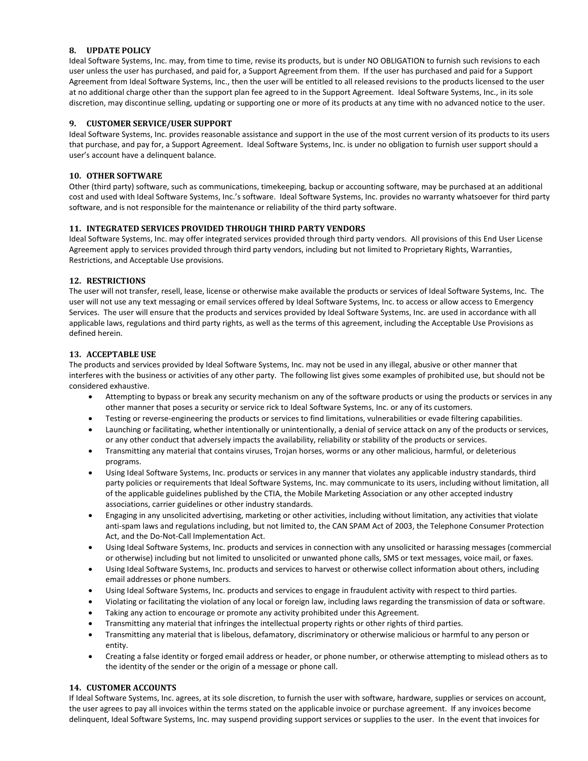## **8. UPDATE POLICY**

Ideal Software Systems, Inc. may, from time to time, revise its products, but is under NO OBLIGATION to furnish such revisions to each user unless the user has purchased, and paid for, a Support Agreement from them. If the user has purchased and paid for a Support Agreement from Ideal Software Systems, Inc., then the user will be entitled to all released revisions to the products licensed to the user at no additional charge other than the support plan fee agreed to in the Support Agreement. Ideal Software Systems, Inc., in its sole discretion, may discontinue selling, updating or supporting one or more of its products at any time with no advanced notice to the user.

#### **9. CUSTOMER SERVICE/USER SUPPORT**

Ideal Software Systems, Inc. provides reasonable assistance and support in the use of the most current version of its products to its users that purchase, and pay for, a Support Agreement. Ideal Software Systems, Inc. is under no obligation to furnish user support should a user's account have a delinquent balance.

### **10. OTHER SOFTWARE**

Other (third party) software, such as communications, timekeeping, backup or accounting software, may be purchased at an additional cost and used with Ideal Software Systems, Inc.'s software. Ideal Software Systems, Inc. provides no warranty whatsoever for third party software, and is not responsible for the maintenance or reliability of the third party software.

## **11. INTEGRATED SERVICES PROVIDED THROUGH THIRD PARTY VENDORS**

Ideal Software Systems, Inc. may offer integrated services provided through third party vendors. All provisions of this End User License Agreement apply to services provided through third party vendors, including but not limited to Proprietary Rights, Warranties, Restrictions, and Acceptable Use provisions.

#### **12. RESTRICTIONS**

The user will not transfer, resell, lease, license or otherwise make available the products or services of Ideal Software Systems, Inc. The user will not use any text messaging or email services offered by Ideal Software Systems, Inc. to access or allow access to Emergency Services. The user will ensure that the products and services provided by Ideal Software Systems, Inc. are used in accordance with all applicable laws, regulations and third party rights, as well as the terms of this agreement, including the Acceptable Use Provisions as defined herein.

#### **13. ACCEPTABLE USE**

The products and services provided by Ideal Software Systems, Inc. may not be used in any illegal, abusive or other manner that interferes with the business or activities of any other party. The following list gives some examples of prohibited use, but should not be considered exhaustive.

- Attempting to bypass or break any security mechanism on any of the software products or using the products or services in any other manner that poses a security or service rick to Ideal Software Systems, Inc. or any of its customers.
- Testing or reverse-engineering the products or services to find limitations, vulnerabilities or evade filtering capabilities.
- Launching or facilitating, whether intentionally or unintentionally, a denial of service attack on any of the products or services, or any other conduct that adversely impacts the availability, reliability or stability of the products or services.
- Transmitting any material that contains viruses, Trojan horses, worms or any other malicious, harmful, or deleterious programs.
- Using Ideal Software Systems, Inc. products or services in any manner that violates any applicable industry standards, third party policies or requirements that Ideal Software Systems, Inc. may communicate to its users, including without limitation, all of the applicable guidelines published by the CTIA, the Mobile Marketing Association or any other accepted industry associations, carrier guidelines or other industry standards.
- Engaging in any unsolicited advertising, marketing or other activities, including without limitation, any activities that violate anti-spam laws and regulations including, but not limited to, the CAN SPAM Act of 2003, the Telephone Consumer Protection Act, and the Do-Not-Call Implementation Act.
- Using Ideal Software Systems, Inc. products and services in connection with any unsolicited or harassing messages (commercial or otherwise) including but not limited to unsolicited or unwanted phone calls, SMS or text messages, voice mail, or faxes.
- Using Ideal Software Systems, Inc. products and services to harvest or otherwise collect information about others, including email addresses or phone numbers.
- Using Ideal Software Systems, Inc. products and services to engage in fraudulent activity with respect to third parties.
- Violating or facilitating the violation of any local or foreign law, including laws regarding the transmission of data or software.
- Taking any action to encourage or promote any activity prohibited under this Agreement.
- Transmitting any material that infringes the intellectual property rights or other rights of third parties.
- Transmitting any material that is libelous, defamatory, discriminatory or otherwise malicious or harmful to any person or entity.
- Creating a false identity or forged email address or header, or phone number, or otherwise attempting to mislead others as to the identity of the sender or the origin of a message or phone call.

## **14. CUSTOMER ACCOUNTS**

If Ideal Software Systems, Inc. agrees, at its sole discretion, to furnish the user with software, hardware, supplies or services on account, the user agrees to pay all invoices within the terms stated on the applicable invoice or purchase agreement. If any invoices become delinquent, Ideal Software Systems, Inc. may suspend providing support services or supplies to the user. In the event that invoices for